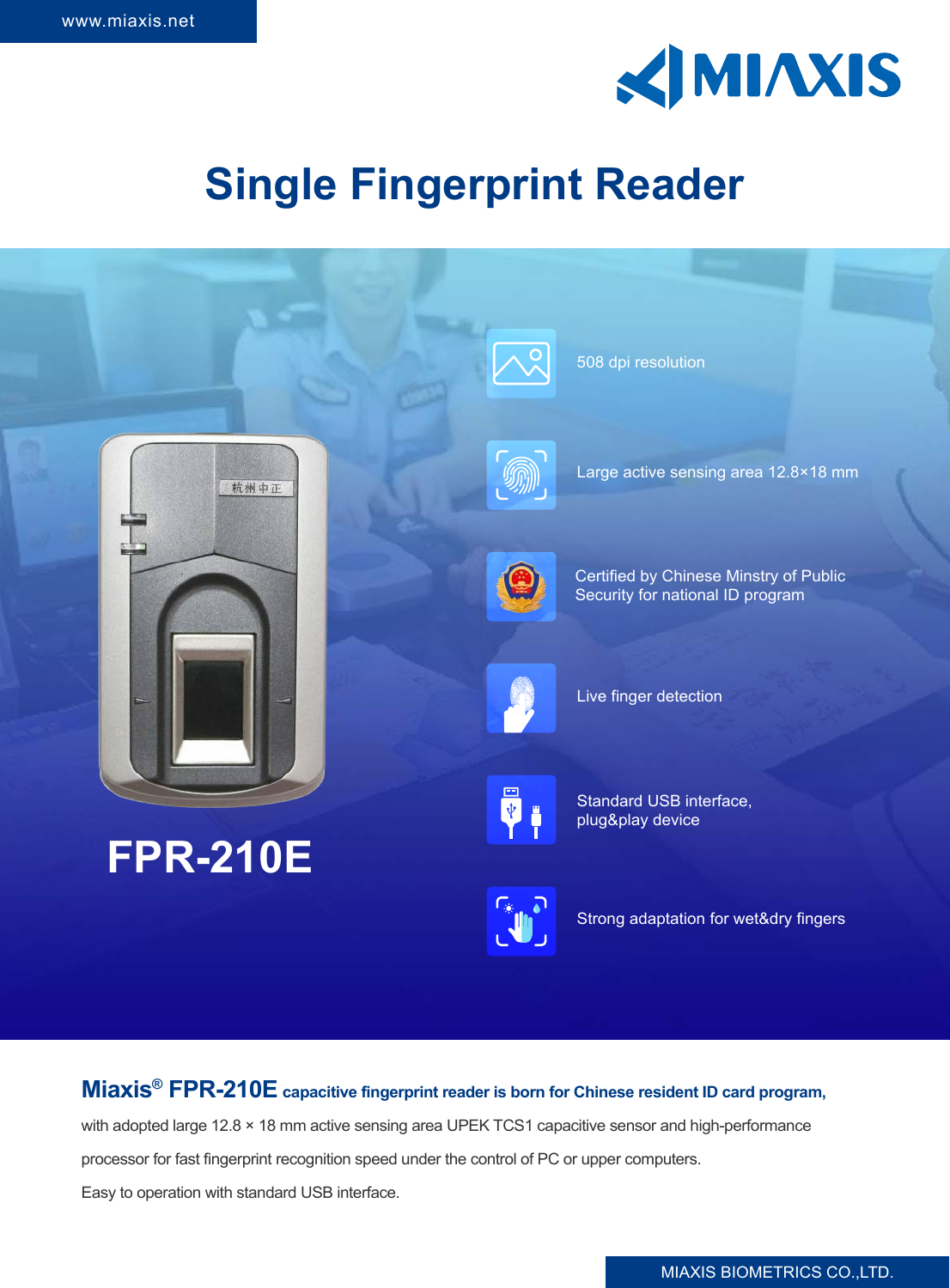

# **Single Fingerprint Reader**



### **Miaxis® FPR-210E capacitive fingerprint reader is born for Chinese resident ID card program,**

with adopted large 12.8 × 18 mm active sensing area UPEK TCS1 capacitive sensor and high-performance

processor for fast fingerprint recognition speed under the control of PC or upper computers.

Easy to operation with standard USB interface.